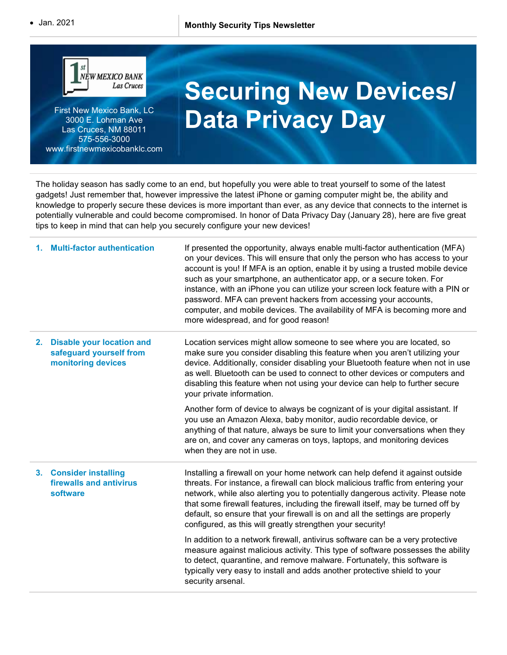

First New Mexico Bank, LC 3000 E. Lohman Ave Las Cruces, NM 88011 575-556-3000 www.firstnewmexicobanklc.com

## Securing New Devices/ Data Privacy Day

The holiday season has sadly come to an end, but hopefully you were able to treat yourself to some of the latest gadgets! Just remember that, however impressive the latest iPhone or gaming computer might be, the ability and knowledge to properly secure these devices is more important than ever, as any device that connects to the internet is potentially vulnerable and could become compromised. In honor of Data Privacy Day (January 28), here are five great tips to keep in mind that can help you securely configure your new devices!

|    | 1. Multi-factor authentication                                                    | If presented the opportunity, always enable multi-factor authentication (MFA)<br>on your devices. This will ensure that only the person who has access to your<br>account is you! If MFA is an option, enable it by using a trusted mobile device<br>such as your smartphone, an authenticator app, or a secure token. For<br>instance, with an iPhone you can utilize your screen lock feature with a PIN or<br>password. MFA can prevent hackers from accessing your accounts,<br>computer, and mobile devices. The availability of MFA is becoming more and<br>more widespread, and for good reason! |
|----|-----------------------------------------------------------------------------------|---------------------------------------------------------------------------------------------------------------------------------------------------------------------------------------------------------------------------------------------------------------------------------------------------------------------------------------------------------------------------------------------------------------------------------------------------------------------------------------------------------------------------------------------------------------------------------------------------------|
| 2. | <b>Disable your location and</b><br>safeguard yourself from<br>monitoring devices | Location services might allow someone to see where you are located, so<br>make sure you consider disabling this feature when you aren't utilizing your<br>device. Additionally, consider disabling your Bluetooth feature when not in use<br>as well. Bluetooth can be used to connect to other devices or computers and<br>disabling this feature when not using your device can help to further secure<br>your private information.                                                                                                                                                                   |
|    |                                                                                   | Another form of device to always be cognizant of is your digital assistant. If<br>you use an Amazon Alexa, baby monitor, audio recordable device, or<br>anything of that nature, always be sure to limit your conversations when they<br>are on, and cover any cameras on toys, laptops, and monitoring devices<br>when they are not in use.                                                                                                                                                                                                                                                            |
|    | 3. Consider installing<br>firewalls and antivirus<br>software                     | Installing a firewall on your home network can help defend it against outside<br>threats. For instance, a firewall can block malicious traffic from entering your<br>network, while also alerting you to potentially dangerous activity. Please note<br>that some firewall features, including the firewall itself, may be turned off by<br>default, so ensure that your firewall is on and all the settings are properly<br>configured, as this will greatly strengthen your security!                                                                                                                 |
|    |                                                                                   | In addition to a network firewall, antivirus software can be a very protective<br>measure against malicious activity. This type of software possesses the ability<br>to detect, quarantine, and remove malware. Fortunately, this software is<br>typically very easy to install and adds another protective shield to your<br>security arsenal.                                                                                                                                                                                                                                                         |